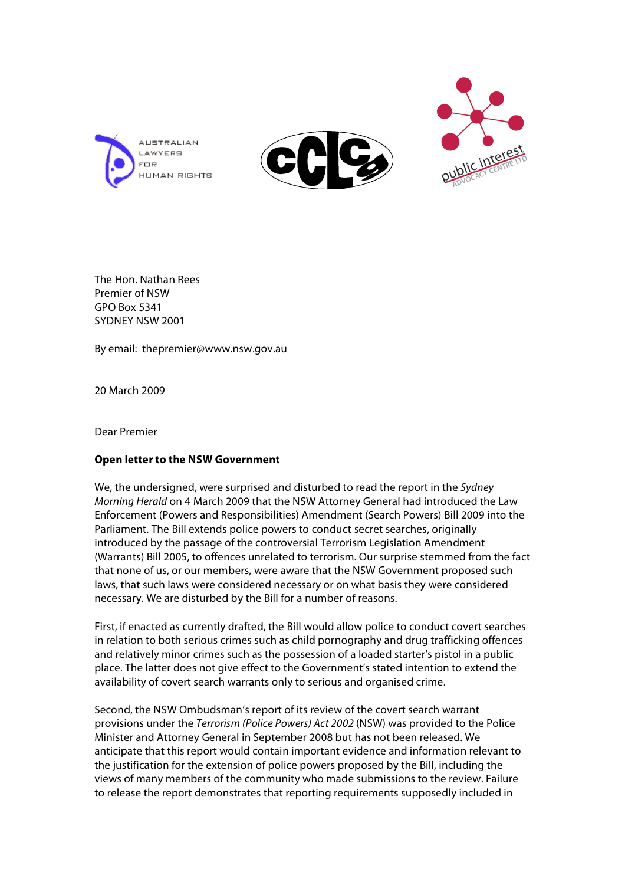





The Hon. Nathan Rees Premier of NSW GPO Box 5341 SYDNEY NSW 2001

By email: thepremier@www.nsw.gov.au

20 March 2009

Dear Premier

## **Open letter to the NSW Government**

We, the undersigned, were surprised and disturbed to read the report in the Sydney Morning Herald on 4 March 2009 that the NSW Attorney General had introduced the Law Enforcement (Powers and Responsibilities) Amendment (Search Powers) Bill 2009 into the Parliament. The Bill extends police powers to conduct secret searches, originally introduced by the passage of the controversial Terrorism Legislation Amendment (Warrants) Bill 2005, to offences unrelated to terrorism. Our surprise stemmed from the fact that none of us, or our members, were aware that the NSW Government proposed such laws, that such laws were considered necessary or on what basis they were considered necessary. We are disturbed by the Bill for a number of reasons.

First, if enacted as currently drafted, the Bill would allow police to conduct covert searches in relation to both serious crimes such as child pornography and drug trafficking offences and relatively minor crimes such as the possession of a loaded starter's pistol in a public place. The latter does not give effect to the Government's stated intention to extend the availability of covert search warrants only to serious and organised crime.

Second, the NSW Ombudsman's report of its review of the covert search warrant provisions under the Terrorism (Police Powers) Act 2002 (NSW) was provided to the Police Minister and Attorney General in September 2008 but has not been released. We anticipate that this report would contain important evidence and information relevant to the justification for the extension of police powers proposed by the Bill, including the views of many members of the community who made submissions to the review. Failure to release the report demonstrates that reporting requirements supposedly included in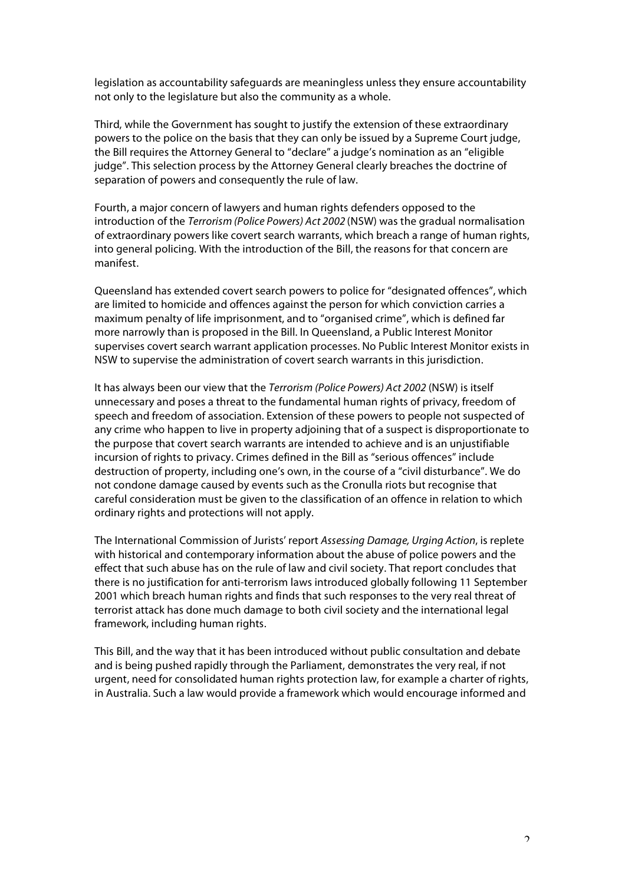legislation as accountability safeguards are meaningless unless they ensure accountability not only to the legislature but also the community as a whole.

Third, while the Government has sought to justify the extension of these extraordinary powers to the police on the basis that they can only be issued by a Supreme Court judge, the Bill requires the Attorney General to "declare" a judge's nomination as an "eligible judge". This selection process by the Attorney General clearly breaches the doctrine of separation of powers and consequently the rule of law.

Fourth, a major concern of lawyers and human rights defenders opposed to the introduction of the Terrorism (Police Powers) Act 2002 (NSW) was the gradual normalisation of extraordinary powers like covert search warrants, which breach a range of human rights, into general policing. With the introduction of the Bill, the reasons for that concern are manifest.

Queensland has extended covert search powers to police for "designated offences", which are limited to homicide and offences against the person for which conviction carries a maximum penalty of life imprisonment, and to "organised crime", which is defined far more narrowly than is proposed in the Bill. In Queensland, a Public Interest Monitor supervises covert search warrant application processes. No Public Interest Monitor exists in NSW to supervise the administration of covert search warrants in this jurisdiction.

It has always been our view that the Terrorism (Police Powers) Act 2002 (NSW) is itself unnecessary and poses a threat to the fundamental human rights of privacy, freedom of speech and freedom of association. Extension of these powers to people not suspected of any crime who happen to live in property adjoining that of a suspect is disproportionate to the purpose that covert search warrants are intended to achieve and is an unjustifiable incursion of rights to privacy. Crimes defined in the Bill as "serious offences" include destruction of property, including one's own, in the course of a "civil disturbance". We do not condone damage caused by events such as the Cronulla riots but recognise that careful consideration must be given to the classification of an offence in relation to which ordinary rights and protections will not apply.

The International Commission of Jurists' report Assessing Damage, Urging Action, is replete with historical and contemporary information about the abuse of police powers and the effect that such abuse has on the rule of law and civil society. That report concludes that there is no justification for anti-terrorism laws introduced globally following 11 September 2001 which breach human rights and finds that such responses to the very real threat of terrorist attack has done much damage to both civil society and the international legal framework, including human rights.

This Bill, and the way that it has been introduced without public consultation and debate and is being pushed rapidly through the Parliament, demonstrates the very real, if not urgent, need for consolidated human rights protection law, for example a charter of rights, in Australia. Such a law would provide a framework which would encourage informed and